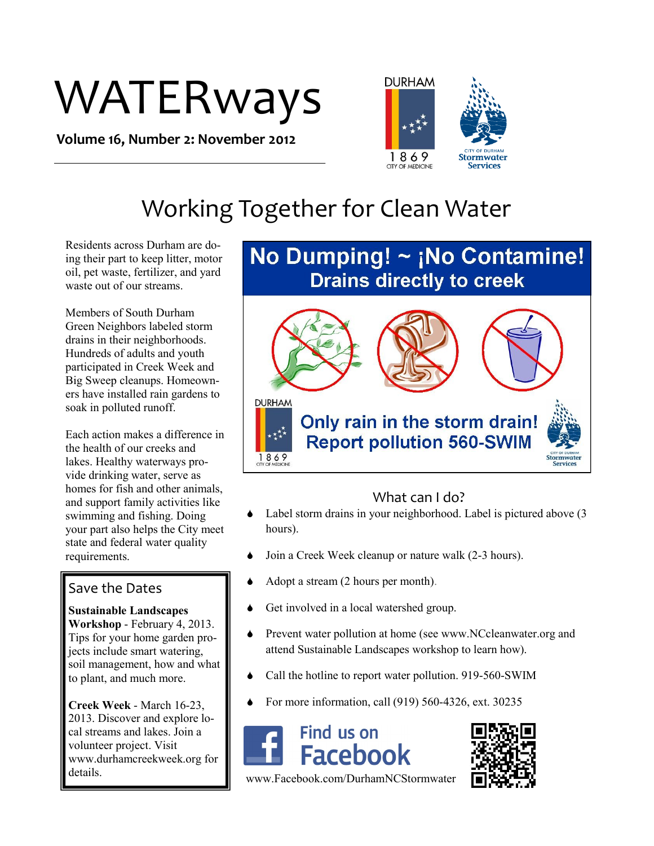# WATERways

**Volume 16, Number 2: November 2012**



## Working Together for Clean Water

Residents across Durham are doing their part to keep litter, motor oil, pet waste, fertilizer, and yard waste out of our streams.

Members of South Durham Green Neighbors labeled storm drains in their neighborhoods. Hundreds of adults and youth participated in Creek Week and Big Sweep cleanups. Homeowners have installed rain gardens to soak in polluted runoff.

Each action makes a difference in the health of our creeks and lakes. Healthy waterways provide drinking water, serve as homes for fish and other animals, and support family activities like swimming and fishing. Doing your part also helps the City meet state and federal water quality requirements.

#### Save the Dates

**Sustainable Landscapes Workshop** - February 4, 2013. Tips for your home garden projects include smart watering, soil management, how and what to plant, and much more.

**Creek Week** - March 16-23, 2013. Discover and explore local streams and lakes. Join a volunteer project. Visit www.durhamcreekweek.org for details.

### No Dumping!  $\sim$  ¡No Contamine! **Drains directly to creek**



#### What can I do?

- Label storm drains in your neighborhood. Label is pictured above (3) hours).
- Join a Creek Week cleanup or nature walk (2-3 hours).
- Adopt a stream (2 hours per month).
- Get involved in a local watershed group.
- Prevent water pollution at home (see www.NCcleanwater.org and attend Sustainable Landscapes workshop to learn how).
- Call the hotline to report water pollution. 919-560-SWIM
- For more information, call (919) 560-4326, ext. 30235





www.Facebook.com/DurhamNCStormwater